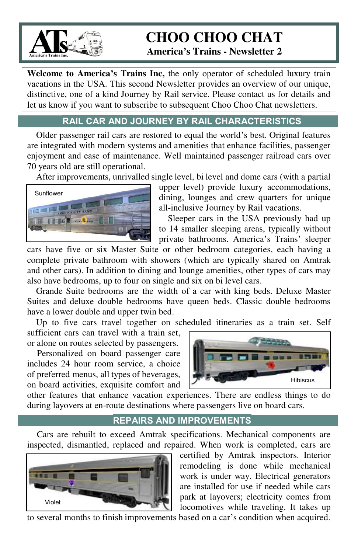

# **CHOO CHOO CHAT**

 **America's Trains - Newsletter 2** 

**Welcome to America's Trains Inc,** the only operator of scheduled luxury train vacations in the USA. This second Newsletter provides an overview of our unique, distinctive, one of a kind Journey by Rail service. Please contact us for details and let us know if you want to subscribe to subsequent Choo Choo Chat newsletters.

# **RAIL CAR AND JOURNEY BY RAIL CHARACTERISTICSS**

Older passenger rail cars are restored to equal the world's best. Original features are integrated with modern systems and amenities that enhance facilities, passenger enjoyment and ease of maintenance. Well maintained passenger railroad cars over 70 years old are still operational.

After improvements, unrivalled single level, bi level and dome cars (with a partial



upper level) provide luxury accommodations, dining, lounges and crew quarters for unique all-inclusive Journey by Rail vacations.

Sleeper cars in the USA previously had up to 14 smaller sleeping areas, typically without private bathrooms. America's Trains' sleeper

cars have five or six Master Suite or other bedroom categories, each having a complete private bathroom with showers (which are typically shared on Amtrak and other cars). In addition to dining and lounge amenities, other types of cars may also have bedrooms, up to four on single and six on bi level cars.

Grande Suite bedrooms are the width of a car with king beds. Deluxe Master Suites and deluxe double bedrooms have queen beds. Classic double bedrooms have a lower double and upper twin bed.

Up to five cars travel together on scheduled itineraries as a train set. Self sufficient cars can travel with a train set,

or alone on routes selected by passengers. Personalized on board passenger care

includes 24 hour room service, a choice of preferred menus, all types of beverages, on board activities, exquisite comfort and



other features that enhance vacation experiences. There are endless things to do during layovers at en-route destinations where passengers live on board cars.

#### **REPAIRS AND IMPROVEMENTS**

Cars are rebuilt to exceed Amtrak specifications. Mechanical components are inspected, dismantled, replaced and repaired. When work is completed, cars are



certified by Amtrak inspectors. Interior remodeling is done while mechanical work is under way. Electrical generators are installed for use if needed while cars park at layovers; electricity comes from locomotives while traveling. It takes up

to several months to finish improvements based on a car's condition when acquired.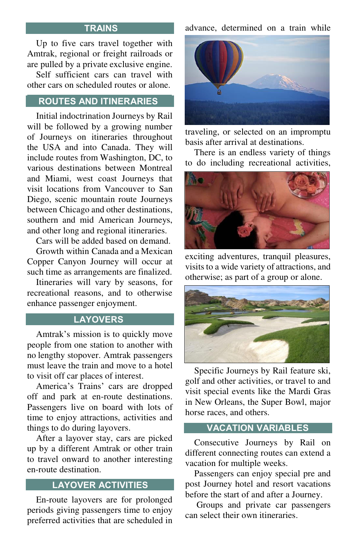#### **TRAINSS**

Up to five cars travel together with Amtrak, regional or freight railroads or are pulled by a private exclusive engine.

Self sufficient cars can travel with other cars on scheduled routes or alone.

## **ROUTES AND ITINERARIESS** .

Initial indoctrination Journeys by Rail will be followed by a growing number of Journeys on itineraries throughout the USA and into Canada. They will include routes from Washington, DC, to various destinations between Montreal and Miami, west coast Journeys that visit locations from Vancouver to San Diego, scenic mountain route Journeys between Chicago and other destinations, southern and mid American Journeys, and other long and regional itineraries.

Cars will be added based on demand.

Growth within Canada and a Mexican Copper Canyon Journey will occur at such time as arrangements are finalized.

Itineraries will vary by seasons, for recreational reasons, and to otherwise enhance passenger enjoyment.

#### **LAYOVERS**

Amtrak's mission is to quickly move people from one station to another with no lengthy stopover. Amtrak passengers must leave the train and move to a hotel to visit off car places of interest.

America's Trains' cars are dropped off and park at en-route destinations. Passengers live on board with lots of time to enjoy attractions, activities and things to do during layovers.

After a layover stay, cars are picked up by a different Amtrak or other train to travel onward to another interesting en-route destination.

# **LAYOVER ACTIVITIES**

En-route layovers are for prolonged periods giving passengers time to enjoy preferred activities that are scheduled in advance, determined on a train while



traveling, or selected on an impromptu basis after arrival at destinations.

There is an endless variety of things to do including recreational activities,



exciting adventures, tranquil pleasures, visits to a wide variety of attractions, and otherwise; as part of a group or alone.



Specific Journeys by Rail feature ski, golf and other activities, or travel to and visit special events like the Mardi Gras in New Orleans, the Super Bowl, major horse races, and others.

#### **VACATION VARIABLES**

Consecutive Journeys by Rail on different connecting routes can extend a vacation for multiple weeks.

Passengers can enjoy special pre and post Journey hotel and resort vacations before the start of and after a Journey.

 Groups and private car passengers can select their own itineraries.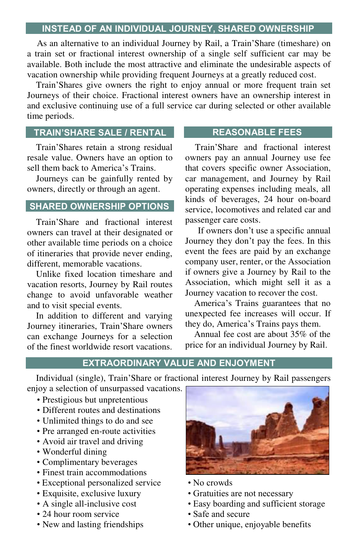### **INSTEAD OF AN INDIVIDUAL JOURNEY, SHARED OWNERSHIP**

As an alternative to an individual Journey by Rail, a Train'Share (timeshare) on a train set or fractional interest ownership of a single self sufficient car may be available. Both include the most attractive and eliminate the undesirable aspects of vacation ownership while providing frequent Journeys at a greatly reduced cost.

Train'Shares give owners the right to enjoy annual or more frequent train set Journeys of their choice. Fractional interest owners have an ownership interest in and exclusive continuing use of a full service car during selected or other available time periods.

# **TRAIN'SHARE SALE / RENTAL**

Train'Shares retain a strong residual resale value. Owners have an option to sell them back to America's Trains.

Journeys can be gainfully rented by owners, directly or through an agent.

## **SHARED OWNERSHIP OPTIONS**

Train'Share and fractional interest owners can travel at their designated or other available time periods on a choice of itineraries that provide never ending, different, memorable vacations.

Unlike fixed location timeshare and vacation resorts, Journey by Rail routes change to avoid unfavorable weather and to visit special events.

In addition to different and varying Journey itineraries, Train'Share owners can exchange Journeys for a selection of the finest worldwide resort vacations.

## **REASONABLE FEESS**

Train'Share and fractional interest owners pay an annual Journey use fee that covers specific owner Association, car management, and Journey by Rail operating expenses including meals, all kinds of beverages, 24 hour on-board service, locomotives and related car and passenger care costs.

If owners don't use a specific annual Journey they don't pay the fees. In this event the fees are paid by an exchange company user, renter, or the Association if owners give a Journey by Rail to the Association, which might sell it as a Journey vacation to recover the cost.

America's Trains guarantees that no unexpected fee increases will occur. If they do, America's Trains pays them.

Annual fee cost are about 35% of the price for an individual Journey by Rail.

# **EXTRAORDINARY VALUE AND ENJOYMENT**

Individual (single), Train'Share or fractional interest Journey by Rail passengers enjoy a selection of unsurpassed vacations.

- Prestigious but unpretentious
- Different routes and destinations
- Unlimited things to do and see
- Pre arranged en-route activities
- Avoid air travel and driving
- Wonderful dining
- Complimentary beverages
- Finest train accommodations
- Exceptional personalized service No crowds
- 
- 
- 24 hour room service Safe and secure
- 



- 
- Exquisite, exclusive luxury Gratuities are not necessary
- A single all-inclusive cost Easy boarding and sufficient storage
	-
- New and lasting friendships Other unique, enjoyable benefits